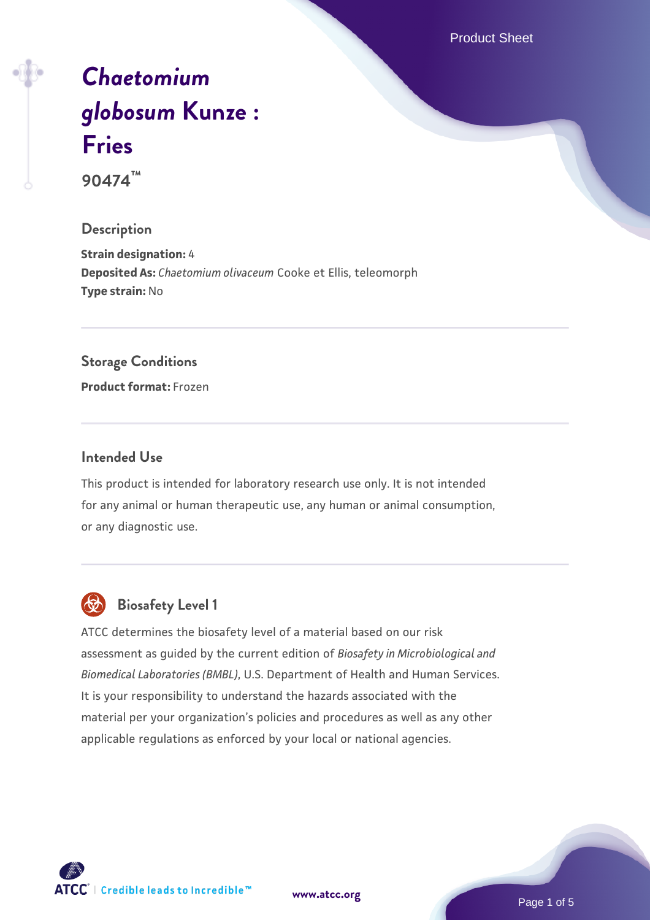Product Sheet

# *[Chaetomium](https://www.atcc.org/products/90474) [globosum](https://www.atcc.org/products/90474)* **[Kunze :](https://www.atcc.org/products/90474) [Fries](https://www.atcc.org/products/90474)**

**90474™**

## **Description**

**Strain designation:** 4 **Deposited As:** *Chaetomium olivaceum* Cooke et Ellis, teleomorph **Type strain:** No

#### **Storage Conditions**

**Product format:** Frozen

#### **Intended Use**

This product is intended for laboratory research use only. It is not intended for any animal or human therapeutic use, any human or animal consumption, or any diagnostic use.



# **Biosafety Level 1**

ATCC determines the biosafety level of a material based on our risk assessment as guided by the current edition of *Biosafety in Microbiological and Biomedical Laboratories (BMBL)*, U.S. Department of Health and Human Services. It is your responsibility to understand the hazards associated with the material per your organization's policies and procedures as well as any other applicable regulations as enforced by your local or national agencies.

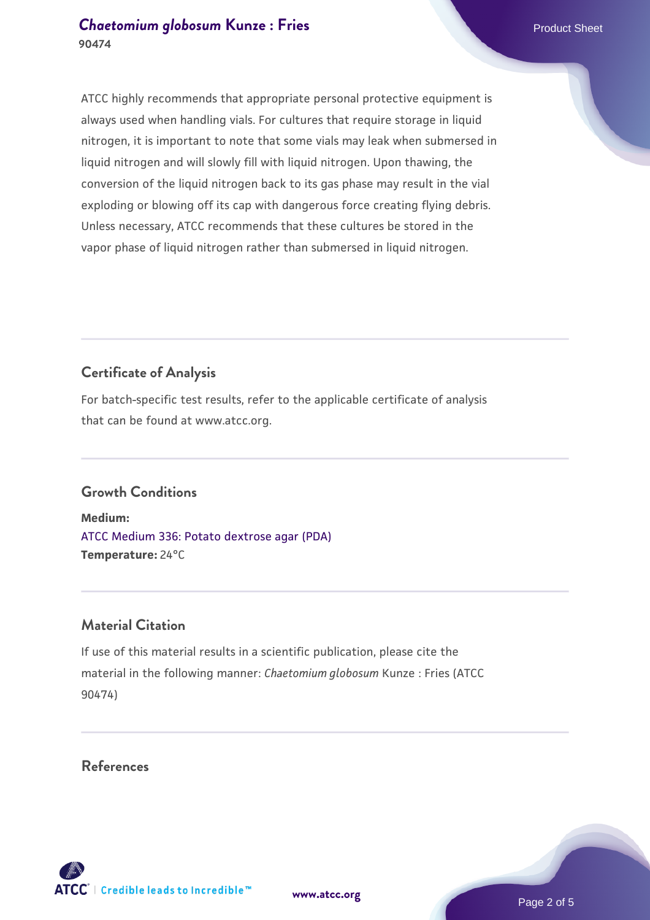## **[Chaetomium globosum](https://www.atcc.org/products/90474) [Kunze : Fries](https://www.atcc.org/products/90474)** Product Sheet **90474**

ATCC highly recommends that appropriate personal protective equipment is always used when handling vials. For cultures that require storage in liquid nitrogen, it is important to note that some vials may leak when submersed in liquid nitrogen and will slowly fill with liquid nitrogen. Upon thawing, the conversion of the liquid nitrogen back to its gas phase may result in the vial exploding or blowing off its cap with dangerous force creating flying debris. Unless necessary, ATCC recommends that these cultures be stored in the vapor phase of liquid nitrogen rather than submersed in liquid nitrogen.

# **Certificate of Analysis**

For batch-specific test results, refer to the applicable certificate of analysis that can be found at www.atcc.org.

## **Growth Conditions**

**Medium:**  [ATCC Medium 336: Potato dextrose agar \(PDA\)](https://www.atcc.org/-/media/product-assets/documents/microbial-media-formulations/3/3/6/atcc-medium-336.pdf?rev=d9160ad44d934cd8b65175461abbf3b9) **Temperature:** 24°C

## **Material Citation**

If use of this material results in a scientific publication, please cite the material in the following manner: *Chaetomium globosum* Kunze : Fries (ATCC 90474)

**References**

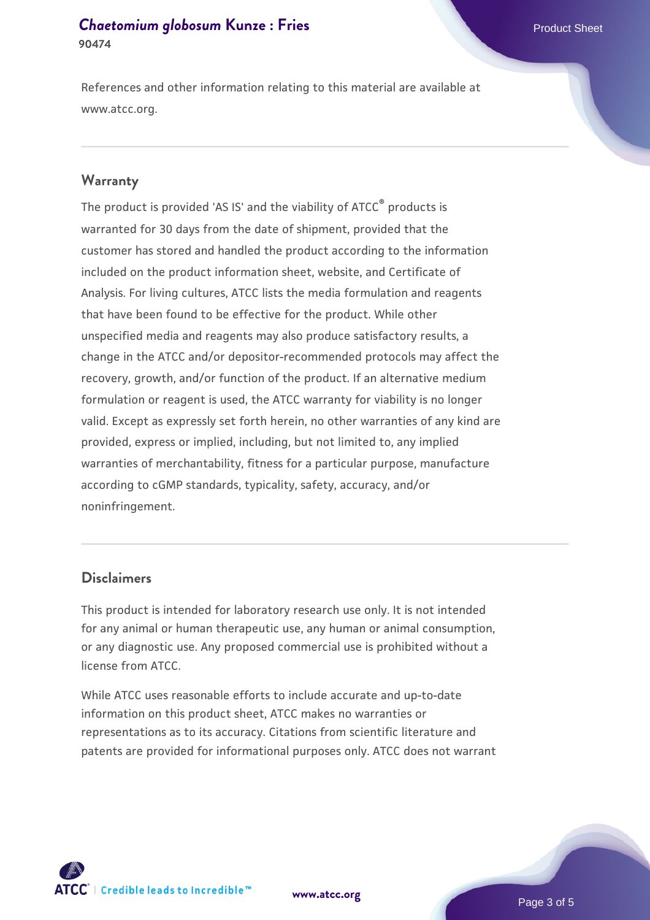## **[Chaetomium globosum](https://www.atcc.org/products/90474) [Kunze : Fries](https://www.atcc.org/products/90474)** Product Sheet **90474**

References and other information relating to this material are available at www.atcc.org.

#### **Warranty**

The product is provided 'AS IS' and the viability of ATCC® products is warranted for 30 days from the date of shipment, provided that the customer has stored and handled the product according to the information included on the product information sheet, website, and Certificate of Analysis. For living cultures, ATCC lists the media formulation and reagents that have been found to be effective for the product. While other unspecified media and reagents may also produce satisfactory results, a change in the ATCC and/or depositor-recommended protocols may affect the recovery, growth, and/or function of the product. If an alternative medium formulation or reagent is used, the ATCC warranty for viability is no longer valid. Except as expressly set forth herein, no other warranties of any kind are provided, express or implied, including, but not limited to, any implied warranties of merchantability, fitness for a particular purpose, manufacture according to cGMP standards, typicality, safety, accuracy, and/or noninfringement.

## **Disclaimers**

This product is intended for laboratory research use only. It is not intended for any animal or human therapeutic use, any human or animal consumption, or any diagnostic use. Any proposed commercial use is prohibited without a license from ATCC.

While ATCC uses reasonable efforts to include accurate and up-to-date information on this product sheet, ATCC makes no warranties or representations as to its accuracy. Citations from scientific literature and patents are provided for informational purposes only. ATCC does not warrant

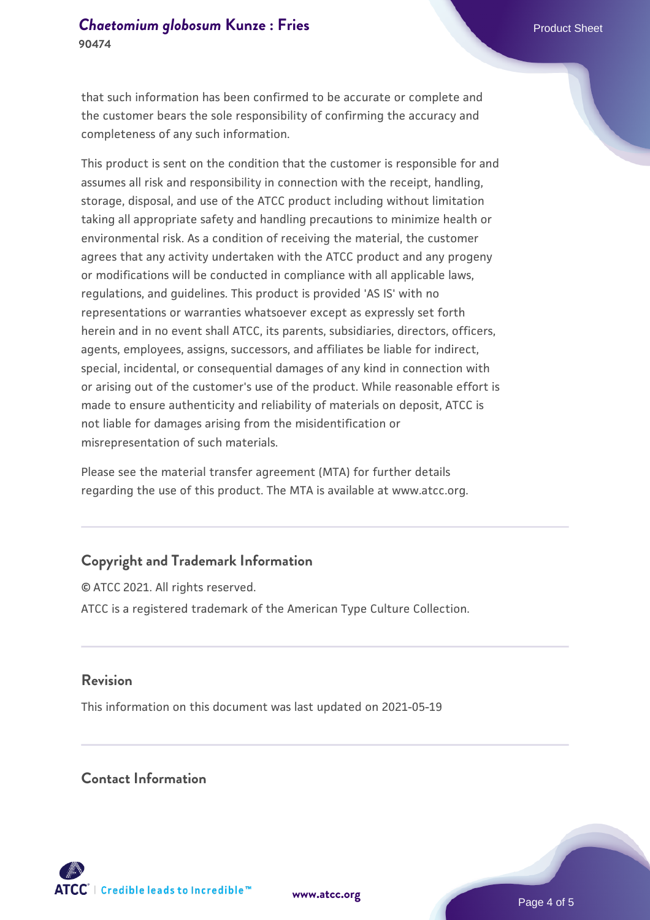that such information has been confirmed to be accurate or complete and the customer bears the sole responsibility of confirming the accuracy and completeness of any such information.

This product is sent on the condition that the customer is responsible for and assumes all risk and responsibility in connection with the receipt, handling, storage, disposal, and use of the ATCC product including without limitation taking all appropriate safety and handling precautions to minimize health or environmental risk. As a condition of receiving the material, the customer agrees that any activity undertaken with the ATCC product and any progeny or modifications will be conducted in compliance with all applicable laws, regulations, and guidelines. This product is provided 'AS IS' with no representations or warranties whatsoever except as expressly set forth herein and in no event shall ATCC, its parents, subsidiaries, directors, officers, agents, employees, assigns, successors, and affiliates be liable for indirect, special, incidental, or consequential damages of any kind in connection with or arising out of the customer's use of the product. While reasonable effort is made to ensure authenticity and reliability of materials on deposit, ATCC is not liable for damages arising from the misidentification or misrepresentation of such materials.

Please see the material transfer agreement (MTA) for further details regarding the use of this product. The MTA is available at www.atcc.org.

## **Copyright and Trademark Information**

© ATCC 2021. All rights reserved. ATCC is a registered trademark of the American Type Culture Collection.

#### **Revision**

This information on this document was last updated on 2021-05-19

## **Contact Information**